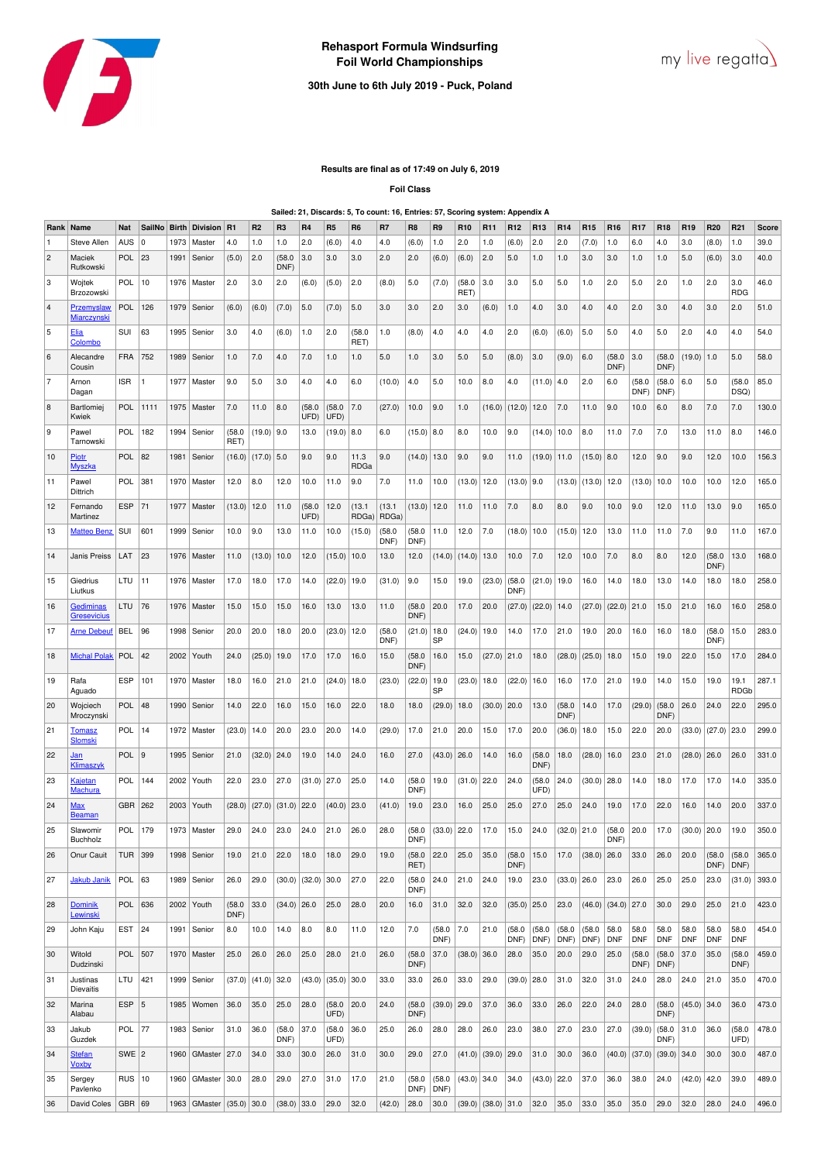

## **30th June to 6th July 2019 - Puck, Poland**

## **Results are final as of 17:49 on July 6, 2019**

**Foil Class**

**Sailed: 21, Discards: 5, To count: 16, Entries: 57, Scoring system: Appendix A**

| Rank           | Name                             | Nat           | SailNo      | <b>Birth</b> | <b>Division</b> | <b>R1</b>     | R <sub>2</sub> | R <sub>3</sub> | R <sub>4</sub> | R5             | R <sub>6</sub>  | R7              | R <sub>8</sub> | R <sub>9</sub> | R <sub>10</sub> | R <sub>11</sub>        | R <sub>12</sub> | R <sub>13</sub> | R <sub>14</sub> | R <sub>15</sub> | R <sub>16</sub>      | <b>R17</b>         | R <sub>18</sub>    | R <sub>19</sub>    | R <sub>20</sub>    | R <sub>21</sub>     | Score |
|----------------|----------------------------------|---------------|-------------|--------------|-----------------|---------------|----------------|----------------|----------------|----------------|-----------------|-----------------|----------------|----------------|-----------------|------------------------|-----------------|-----------------|-----------------|-----------------|----------------------|--------------------|--------------------|--------------------|--------------------|---------------------|-------|
| $\overline{1}$ | Steve Allen                      | <b>AUS</b>    | $\mathbf 0$ | 1973         | Master          | 4.0           | 1.0            | 1.0            | 2.0            | (6.0)          | 4.0             | 4.0             | (6.0)          | 1.0            | 2.0             | 1.0                    | (6.0)           | 2.0             | 2.0             | (7.0)           | 1.0                  | 6.0                | 4.0                | 3.0                | (8.0)              | 1.0                 | 39.0  |
| 2              | Maciek<br>Rutkowski              | POL           | 23          | 1991         | Senior          | (5.0)         | 2.0            | (58.0)<br>DNF) | 3.0            | 3.0            | 3.0             | 2.0             | 2.0            | (6.0)          | (6.0)           | 2.0                    | 5.0             | 1.0             | 1.0             | 3.0             | 3.0                  | 1.0                | 1.0                | 5.0                | (6.0)              | 3.0                 | 40.0  |
| 3              | Wojtek<br>Brzozowski             | POL           | 10          | 1976         | Master          | 2.0           | 3.0            | 2.0            | (6.0)          | (5.0)          | 2.0             | (8.0)           | 5.0            | (7.0)          | (58.0)<br>RET)  | 3.0                    | 3.0             | 5.0             | 5.0             | 1.0             | 2.0                  | 5.0                | 2.0                | 1.0                | 2.0                | 3.0<br><b>RDG</b>   | 46.0  |
| 4              | Przemyslaw<br><u>Miarczynski</u> | POL           | 126         | 1979         | Senior          | (6.0)         | (6.0)          | (7.0)          | 5.0            | (7.0)          | 5.0             | 3.0             | 3.0            | 2.0            | 3.0             | (6.0)                  | 1.0             | 4.0             | 3.0             | 4.0             | 4.0                  | 2.0                | 3.0                | 4.0                | 3.0                | 2.0                 | 51.0  |
| 5              | Elia<br>Colombo                  | SUI           | 63          | 1995         | Senior          | 3.0           | 4.0            | (6.0)          | 1.0            | 2.0            | (58.0)<br>RET)  | 1.0             | (8.0)          | 4.0            | 4.0             | 4.0                    | 2.0             | (6.0)           | (6.0)           | 5.0             | 5.0                  | 4.0                | 5.0                | 2.0                | 4.0                | 4.0                 | 54.0  |
| 6              | Alecandre<br>Cousin              | <b>FRA</b>    | 752         | 1989         | Senior          | 1.0           | 7.0            | 4.0            | 7.0            | 1.0            | 1.0             | 5.0             | 1.0            | 3.0            | 5.0             | 5.0                    | (8.0)           | 3.0             | (9.0)           | 6.0             | (58.0)<br>DNF)       | 3.0                | (58.0)<br>DNF)     | (19.0)             | 1.0                | 5.0                 | 58.0  |
| 17             | Arnon<br>Dagan                   | <b>ISR</b>    | 1           | 1977         | Master          | 9.0           | 5.0            | 3.0            | 4.0            | 4.0            | 6.0             | (10.0)          | 4.0            | 5.0            | 10.0            | 8.0                    | 4.0             | (11.0)          | 4.0             | 2.0             | 6.0                  | (58.0<br>DNF)      | (58.0)<br>DNF)     | 6.0                | 5.0                | (58.0)<br>DSQ)      | 85.0  |
| 8              | Bartlomiej<br>Kwiek              | POL           | 1111        | 1975         | Master          | 7.0           | 11.0           | 8.0            | (58.0)<br>UFD) | (58.0)<br>UFD) | 7.0             | (27.0)          | 10.0           | 9.0            | 1.0             | (16.0)                 | (12.0)          | 12.0            | 7.0             | 11.0            | 9.0                  | 10.0               | 6.0                | 8.0                | 7.0                | 7.0                 | 130.0 |
| 9              | Pawel<br>Tarnowski               | POL           | 182         | 1994         | Senior          | (58.0<br>RET) | $(19.0)$ 9.0   |                | 13.0           | (19.0)         | 8.0             | 6.0             | (15.0)         | 8.0            | 8.0             | 10.0                   | 9.0             | (14.0)          | 10.0            | 8.0             | 11.0                 | 7.0                | 7.0                | 13.0               | 11.0               | 8.0                 | 146.0 |
| 10             | Piotr<br><b>Myszka</b>           | POL           | 82          | 1981         | Senior          | (16.0)        | $(17.0)$ 5.0   |                | 9.0            | 9.0            | 11.3<br>RDGa    | 9.0             | (14.0)         | 13.0           | 9.0             | 9.0                    | 11.0            | (19.0)          | 11.0            | $(15.0)$ 8.0    |                      | 12.0               | 9.0                | 9.0                | 12.0               | 10.0                | 156.3 |
| 11             | Pawel<br>Dittrich                | POL           | 381         | 1970         | Master          | 12.0          | 8.0            | 12.0           | 10.0           | 11.0           | 9.0             | 7.0             | 11.0           | 10.0           | (13.0)          | 12.0                   | (13.0)          | 9.0             | (13.0)          | (13.0)          | 12.0                 | (13.0)             | 10.0               | 10.0               | 10.0               | 12.0                | 165.0 |
| 12             | Fernando<br>Martinez             | <b>ESP</b>    | 71          | 1977         | Master          | (13.0)        | 12.0           | 11.0           | (58.0)<br>UFD) | 12.0           | (13.1)<br>RDGa) | (13.1)<br>RDGa) | $(13.0)$ 12.0  |                | 11.0            | 11.0                   | 7.0             | 8.0             | 8.0             | 9.0             | 10.0                 | 9.0                | 12.0               | 11.0               | 13.0               | 9.0                 | 165.0 |
| 13             | <b>Matteo Benz</b>               | SUI           | 601         | 1999         | Senior          | 10.0          | 9.0            | 13.0           | 11.0           | 10.0           | (15.0)          | (58.0)<br>DNF)  | (58.0)<br>DNF) | 11.0           | 12.0            | 7.0                    | (18.0)          | 10.0            | (15.0)          | 12.0            | 13.0                 | 11.0               | 11.0               | 7.0                | 9.0                | 11.0                | 167.0 |
| 14             | Janis Preiss                     | LAT           | 23          | 1976         | Master          | 11.0          | (13.0)         | 10.0           | 12.0           | (15.0)         | 10.0            | 13.0            | 12.0           | (14.0)         | (14.0)          | 13.0                   | 10.0            | 7.0             | 12.0            | 10.0            | 7.0                  | 8.0                | 8.0                | 12.0               | (58.0)<br>DNF)     | 13.0                | 168.0 |
| 15             | Giedrius<br>Liutkus              | LTU           | 11          | 1976         | Master          | 17.0          | 18.0           | 17.0           | 14.0           | (22.0)         | 19.0            | (31.0)          | 9.0            | 15.0           | 19.0            | (23.0)                 | (58.0)<br>DNF)  | (21.0)          | 19.0            | 16.0            | 14.0                 | 18.0               | 13.0               | 14.0               | 18.0               | 18.0                | 258.0 |
| 16             | Gediminas<br><b>Gresevicius</b>  | LTU           | 76          | 1976         | Master          | 15.0          | 15.0           | 15.0           | 16.0           | 13.0           | 13.0            | 11.0            | (58.0)<br>DNF) | 20.0           | 17.0            | 20.0                   | (27.0)          | (22.0)          | 14.0            | (27.0)          | $(22.0)$ 21.0        |                    | 15.0               | 21.0               | 16.0               | 16.0                | 258.0 |
| 17             | <b>Arne Debeuf</b>               | <b>BEL</b>    | 96          | 1998         | Senior          | 20.0          | 20.0           | 18.0           | 20.0           | (23.0)         | 12.0            | (58.0)<br>DNF)  | (21.0)         | 18.0<br>SP     | (24.0)          | 19.0                   | 14.0            | 17.0            | 21.0            | 19.0            | 20.0                 | 16.0               | 16.0               | 18.0               | (58.0)<br>DNF)     | 15.0                | 283.0 |
| 18             | <b>Michal Polak</b>              | POL           | 42          | 2002         | Youth           | 24.0          | (25.0)         | 19.0           | 17.0           | 17.0           | 16.0            | 15.0            | (58.0)<br>DNF) | 16.0           | 15.0            | (27.0)                 | 21.0            | 18.0            | (28.0)          | (25.0)          | 18.0                 | 15.0               | 19.0               | 22.0               | 15.0               | 17.0                | 284.0 |
| 19             | Rafa<br>Aguado                   | <b>ESP</b>    | 101         | 1970         | Master          | 18.0          | 16.0           | 21.0           | 21.0           | (24.0)         | 18.0            | (23.0)          | (22.0)         | 19.0<br>SP     | (23.0)          | 18.0                   | (22.0)          | 16.0            | 16.0            | 17.0            | 21.0                 | 19.0               | 14.0               | 15.0               | 19.0               | 19.1<br><b>RDGb</b> | 287.1 |
| 20             | Wojciech<br>Mroczynski           | POL           | 48          | 1990         | Senior          | 14.0          | 22.0           | 16.0           | 15.0           | 16.0           | 22.0            | 18.0            | 18.0           | (29.0)         | 18.0            | (30.0)                 | 20.0            | 13.0            | (58.0)<br>DNF)  | 14.0            | 17.0                 | (29.0)             | (58.0)<br>DNF)     | 26.0               | 24.0               | 22.0                | 295.0 |
| 21             | <b>Tomasz</b><br><b>Slomski</b>  | <b>POL</b>    | 14          | 1972         | Master          | (23.0)        | 14.0           | 20.0           | 23.0           | 20.0           | 14.0            | (29.0)          | 17.0           | 21.0           | 20.0            | 15.0                   | 17.0            | 20.0            | (36.0)          | 18.0            | 15.0                 | 22.0               | 20.0               | (33.0)             | (27.0)             | 23.0                | 299.0 |
| 22             | <u>Jan</u><br>Klimaszyk          | <b>POL</b>    | l 9         | 1995         | Senior          | 21.0          | (32.0)         | 24.0           | 19.0           | 14.0           | 24.0            | 16.0            | 27.0           | (43.0)         | 26.0            | 14.0                   | 16.0            | (58.0)<br>DNF)  | 18.0            | (28.0)          | 16.0                 | 23.0               | 21.0               | (28.0)             | 26.0               | 26.0                | 331.0 |
| 23             | <u>Kajetan</u><br><u>Machura</u> | POL           | 144         | 2002         | Youth           | 22.0          | 23.0           | 27.0           | (31.0)         | 27.0           | 25.0            | 14.0            | (58.0)<br>DNF) | 19.0           | $(31.0)$ 22.0   |                        | 24.0            | (58.0)<br>UFD)  | 24.0            | (30.0)          | 28.0                 | 14.0               | 18.0               | 17.0               | 17.0               | 14.0                | 335.0 |
| 24             | <u>Max</u><br><u>Beaman</u>      | <b>GBR</b>    | 262         | 2003         | Youth           | (28.0)        | (27.0)         | (31.0)         | 22.0           | (40.0)         | 23.0            | (41.0)          | 19.0           | 23.0           | 16.0            | 25.0                   | 25.0            | 27.0            | 25.0            | 24.0            | 19.0                 | 17.0               | 22.0               | 16.0               | 14.0               | 20.0                | 337.0 |
| 25             | Slawomir<br>Buchholz             | <b>POL</b>    | 179         | 1973         | Master          | 29.0          | 24.0           | 23.0           | 24.0           | 21.0           | 26.0            | 28.0            | (58.0)<br>DNF) | $(33.0)$ 22.0  |                 | 17.0                   | 15.0            | 24.0            | $(32.0)$ 21.0   |                 | (58.0)<br>DNF)       | 20.0               | 17.0               | $(30.0)$ 20.0      |                    | 19.0                | 350.0 |
| 26             | Onur Cauit                       | <b>TUR</b>    | 399         | 1998         | Senior          | 19.0          | 21.0           | 22.0           | 18.0           | 18.0           | 29.0            | 19.0            | (58.0)<br>RET) | 22.0           | 25.0            | 35.0                   | (58.0)<br>DNF)  | 15.0            | 17.0            | $(38.0)$ 26.0   |                      | 33.0               | 26.0               | 20.0               | (58.0)<br>DNF)     | (58.0)<br>DNF)      | 365.0 |
| 27             | Jakub Janik                      | POL           | 63          | 1989         | Senior          | 26.0          | 29.0           | (30.0)         | (32.0)         | 30.0           | 27.0            | 22.0            | (58.0)<br>DNF) | 24.0           | 21.0            | 24.0                   | 19.0            | 23.0            | $(33.0)$ 26.0   |                 | 23.0                 | 26.0               | 25.0               | 25.0               | 23.0               | (31.0)              | 393.0 |
| 28             | Dominik<br>Lewinski              | POL           | 636         |              | 2002   Youth    | (58.0<br>DNF) | 33.0           | $(34.0)$ 26.0  |                | 25.0           | 28.0            | 20.0            | 16.0           | 31.0           | 32.0            | 32.0                   | $(35.0)$ 25.0   |                 | 23.0            |                 | $(46.0)$ (34.0) 27.0 |                    | 30.0               | 29.0               | 25.0               | 21.0                | 423.0 |
| 29             | John Kaju                        | EST           | 24          | 1991         | Senior          | 8.0           | 10.0           | 14.0           | 8.0            | 8.0            | 11.0            | 12.0            | 7.0            | (58.0<br>DNF)  | 7.0             | 21.0                   | (58.0)<br>DNF)  | (58.0)<br>DNF)  | (58.0)<br>DNF)  | (58.0)<br>DNF)  | 58.0<br><b>DNF</b>   | 58.0<br><b>DNF</b> | 58.0<br><b>DNF</b> | 58.0<br><b>DNF</b> | 58.0<br><b>DNF</b> | 58.0<br><b>DNF</b>  | 454.0 |
| 30             | Witold<br>Dudzinski              | <b>POL</b>    | 507         | 1970         | Master          | 25.0          | 26.0           | 26.0           | 25.0           | 28.0           | 21.0            | 26.0            | (58.0)<br>DNF) | 37.0           | $(38.0)$ 36.0   |                        | 28.0            | 35.0            | 20.0            | 29.0            | 25.0                 | (58.0<br>DNF)      | (58.0)<br>DNF)     | 37.0               | 35.0               | (58.0<br>DNF)       | 459.0 |
| 31             | Justinas<br>Dievaitis            | LTU           | 421         | 1999         | Senior          | (37.0)        | (41.0)         | 32.0           | (43.0)         | (35.0)         | 30.0            | 33.0            | 33.0           | 26.0           | 33.0            | 29.0                   | (39.0)          | 28.0            | 31.0            | 32.0            | 31.0                 | 24.0               | 28.0               | 24.0               | 21.0               | 35.0                | 470.0 |
| 32             | Marina<br>Alabau                 | <b>ESP</b>    | 5           | 1985         | Women           | 36.0          | 35.0           | 25.0           | 28.0           | (58.0)<br>UFD) | 20.0            | 24.0            | (58.0)<br>DNF) | $(39.0)$ 29.0  |                 | 37.0                   | 36.0            | 33.0            | 26.0            | 22.0            | 24.0                 | 28.0               | (58.0)<br>DNF)     | $(45.0)$ 34.0      |                    | 36.0                | 473.0 |
| 33             | Jakub<br>Guzdek                  | <b>POL</b> 77 |             | 1983         | Senior          | 31.0          | 36.0           | (58.0)<br>DNF) | 37.0           | (58.0<br>UFD)  | 36.0            | 25.0            | 26.0           | 28.0           | 28.0            | 26.0                   | 23.0            | 38.0            | 27.0            | 23.0            | 27.0                 | (39.0)             | (58.0)<br>DNF)     | 31.0               | 36.0               | (58.0)<br>UFD)      | 478.0 |
| 34             | <b>Stefan</b><br>Voxby           | $SWE$   2     |             | 1960         | GMaster         | 27.0          | 34.0           | 33.0           | 30.0           | 26.0           | 31.0            | 30.0            | 29.0           | 27.0           | (41.0)          | (39.0)                 | 29.0            | 31.0            | 30.0            | 36.0            | (40.0)               | (37.0)             | (39.0) 34.0        |                    | 30.0               | 30.0                | 487.0 |
| 35             | Sergey<br>Pavlenko               | $RUS$   10    |             | 1960         | GMaster         | 30.0          | 28.0           | 29.0           | 27.0           | 31.0           | 17.0            | 21.0            | (58.0)<br>DNF) | (58.0)<br>DNF) | $(43.0)$ 34.0   |                        | 34.0            | (43.0)          | 22.0            | 37.0            | 36.0                 | 38.0               | 24.0               | (42.0)             | 42.0               | 39.0                | 489.0 |
| 36             | David Coles                      | GBR 69        |             |              | 1963   GMaster  | $(35.0)$ 30.0 |                | $(38.0)$ 33.0  |                | 29.0           | 32.0            | (42.0)          | 28.0           | 30.0           |                 | $(39.0)$ $(38.0)$ 31.0 |                 | 32.0            | 35.0            | 33.0            | 35.0                 | 35.0               | 29.0               | 32.0               | 28.0               | 24.0                | 496.0 |